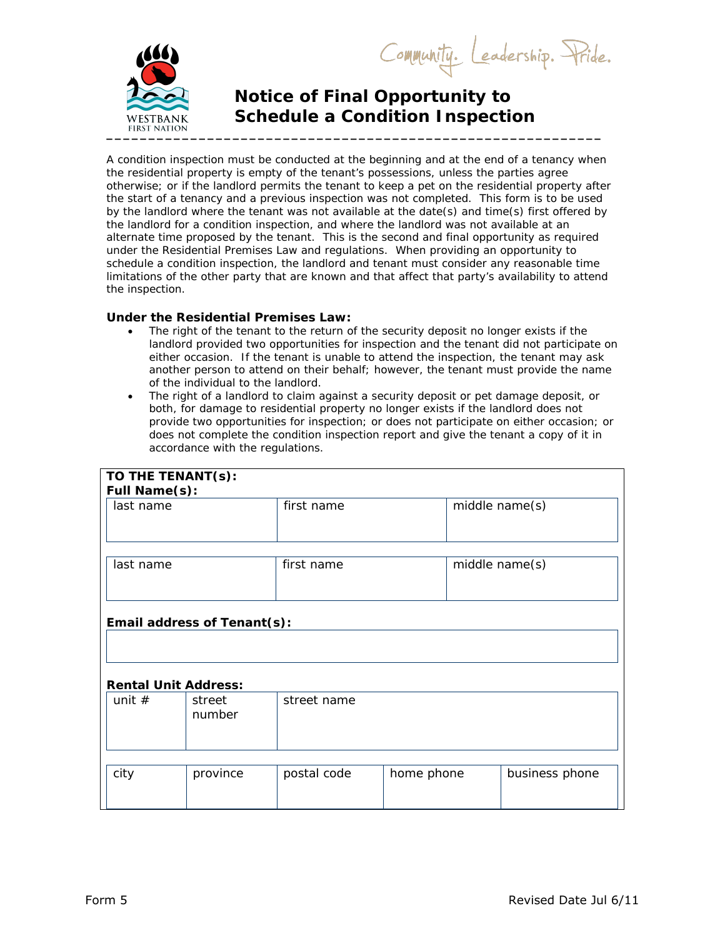Community. Leadership. Pride.



## **Notice of Final Opportunity to Schedule a Condition Inspection**

A condition inspection must be conducted at the beginning and at the end of a tenancy when the residential property is empty of the tenant's possessions, unless the parties agree otherwise; or if the landlord permits the tenant to keep a pet on the residential property after the start of a tenancy and a previous inspection was not completed. This form is to be used by the landlord where the tenant was not available at the date(s) and time(s) first offered by the landlord for a condition inspection, and where the landlord was not available at an alternate time proposed by the tenant. This is the second and final opportunity as required under the Residential Premises Law and regulations. When providing an opportunity to schedule a condition inspection, the landlord and tenant must consider any reasonable time limitations of the other party that are known and that affect that party's availability to attend the inspection.

## **Under the Residential Premises Law:**

- The right of the tenant to the return of the security deposit no longer exists if the landlord provided two opportunities for inspection and the tenant did not participate on either occasion. If the tenant is unable to attend the inspection, the tenant may ask another person to attend on their behalf; however, the tenant must provide the name of the individual to the landlord.
- The right of a landlord to claim against a security deposit or pet damage deposit, or both, for damage to residential property no longer exists if the landlord does not provide two opportunities for inspection; or does not participate on either occasion; or does not complete the condition inspection report and give the tenant a copy of it in accordance with the regulations.

| TO THE TENANT(s):           |                  |             |            |                |  |  |  |
|-----------------------------|------------------|-------------|------------|----------------|--|--|--|
| Full Name(s):               |                  |             |            |                |  |  |  |
| last name                   |                  | first name  |            | middle name(s) |  |  |  |
| last name                   |                  | first name  |            | middle name(s) |  |  |  |
| Email address of Tenant(s): |                  |             |            |                |  |  |  |
| <b>Rental Unit Address:</b> |                  |             |            |                |  |  |  |
| unit $#$                    | street<br>number | street name |            |                |  |  |  |
|                             |                  |             |            |                |  |  |  |
| city                        | province         | postal code | home phone | business phone |  |  |  |